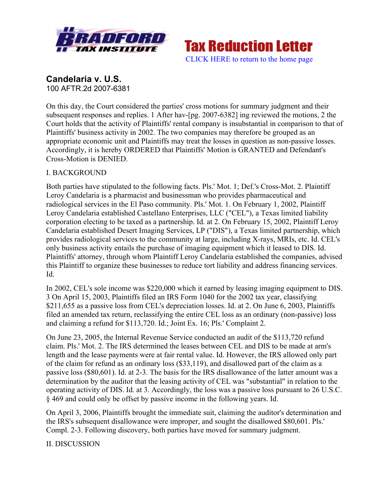

**Tax Reduction Letter** [CLICK HERE to return to the home page](www.bradfordtaxinstitute.com)

**Candelaria v. U.S.** 100 AFTR.2d 2007-6381

On this day, the Court considered the parties' cross motions for summary judgment and their subsequent responses and replies. 1 After hav-[pg. 2007-6382] ing reviewed the motions, 2 the Court holds that the activity of Plaintiffs' rental company is insubstantial in comparison to that of Plaintiffs' business activity in 2002. The two companies may therefore be grouped as an appropriate economic unit and Plaintiffs may treat the losses in question as non-passive losses. Accordingly, it is hereby ORDERED that Plaintiffs' Motion is GRANTED and Defendant's Cross-Motion is DENIED.

### I. BACKGROUND

Both parties have stipulated to the following facts. Pls.' Mot. 1; Def.'s Cross-Mot. 2. Plaintiff Leroy Candelaria is a pharmacist and businessman who provides pharmaceutical and radiological services in the El Paso community. Pls.' Mot. 1. On February 1, 2002, Plaintiff Leroy Candelaria established Castellano Enterprises, LLC ("CEL"), a Texas limited liability corporation electing to be taxed as a partnership. Id. at 2. On February 15, 2002, Plaintiff Leroy Candelaria established Desert Imaging Services, LP ("DIS"), a Texas limited partnership, which provides radiological services to the community at large, including X-rays, MRIs, etc. Id. CEL's only business activity entails the purchase of imaging equipment which it leased to DIS. Id. Plaintiffs' attorney, through whom Plaintiff Leroy Candelaria established the companies, advised this Plaintiff to organize these businesses to reduce tort liability and address financing services. Id.

In 2002, CEL's sole income was \$220,000 which it earned by leasing imaging equipment to DIS. 3 On April 15, 2003, Plaintiffs filed an IRS Form 1040 for the 2002 tax year, classifying \$211,655 as a passive loss from CEL's depreciation losses. Id. at 2. On June 6, 2003, Plaintiffs filed an amended tax return, reclassifying the entire CEL loss as an ordinary (non-passive) loss and claiming a refund for \$113,720. Id.; Joint Ex. 16; Pls.' Complaint 2.

On June 23, 2005, the Internal Revenue Service conducted an audit of the \$113,720 refund claim. Pls.' Mot. 2. The IRS determined the leases between CEL and DIS to be made at arm's length and the lease payments were at fair rental value. Id. However, the IRS allowed only part of the claim for refund as an ordinary loss (\$33,119), and disallowed part of the claim as a passive loss (\$80,601). Id. at 2-3. The basis for the IRS disallowance of the latter amount was a determination by the auditor that the leasing activity of CEL was "substantial" in relation to the operating activity of DIS. Id. at 3. Accordingly, the loss was a passive loss pursuant to 26 U.S.C. § 469 and could only be offset by passive income in the following years. Id.

On April 3, 2006, Plaintiffs brought the immediate suit, claiming the auditor's determination and the IRS's subsequent disallowance were improper, and sought the disallowed \$80,601. Pls.' Compl. 2-3. Following discovery, both parties have moved for summary judgment.

II. DISCUSSION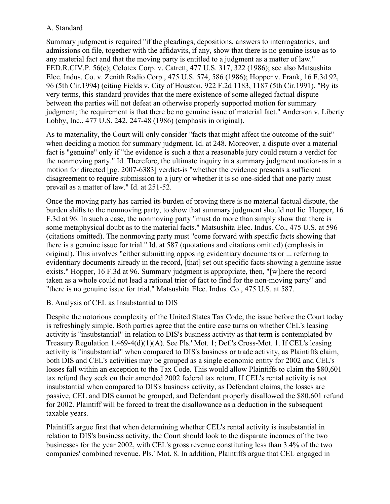## A. Standard

Summary judgment is required "if the pleadings, depositions, answers to interrogatories, and admissions on file, together with the affidavits, if any, show that there is no genuine issue as to any material fact and that the moving party is entitled to a judgment as a matter of law." FED.R.CIV.P. 56(c); Celotex Corp. v. Catrett, 477 U.S. 317, 322 (1986); see also Matsushita Elec. Indus. Co. v. Zenith Radio Corp., 475 U.S. 574, 586 (1986); Hopper v. Frank, 16 F.3d 92, 96 (5th Cir.1994) (citing Fields v. City of Houston, 922 F.2d 1183, 1187 (5th Cir.1991). "By its very terms, this standard provides that the mere existence of some alleged factual dispute between the parties will not defeat an otherwise properly supported motion for summary judgment; the requirement is that there be no genuine issue of material fact." Anderson v. Liberty Lobby, Inc., 477 U.S. 242, 247-48 (1986) (emphasis in original).

As to materiality, the Court will only consider "facts that might affect the outcome of the suit" when deciding a motion for summary judgment. Id. at 248. Moreover, a dispute over a material fact is "genuine" only if "the evidence is such a that a reasonable jury could return a verdict for the nonmoving party." Id. Therefore, the ultimate inquiry in a summary judgment motion-as in a motion for directed [pg. 2007-6383] verdict-is "whether the evidence presents a sufficient disagreement to require submission to a jury or whether it is so one-sided that one party must prevail as a matter of law." Id. at 251-52.

Once the moving party has carried its burden of proving there is no material factual dispute, the burden shifts to the nonmoving party, to show that summary judgment should not lie. Hopper, 16 F.3d at 96. In such a case, the nonmoving party "must do more than simply show that there is some metaphysical doubt as to the material facts." Matsushita Elec. Indus. Co., 475 U.S. at 596 (citations omitted). The nonmoving party must "come forward with specific facts showing that there is a genuine issue for trial." Id. at 587 (quotations and citations omitted) (emphasis in original). This involves "either submitting opposing evidentiary documents or ... referring to evidentiary documents already in the record, [that] set out specific facts showing a genuine issue exists." Hopper, 16 F.3d at 96. Summary judgment is appropriate, then, "[w]here the record taken as a whole could not lead a rational trier of fact to find for the non-moving party" and "there is no genuine issue for trial." Matsushita Elec. Indus. Co., 475 U.S. at 587.

### B. Analysis of CEL as Insubstantial to DIS

Despite the notorious complexity of the United States Tax Code, the issue before the Court today is refreshingly simple. Both parties agree that the entire case turns on whether CEL's leasing activity is "insubstantial" in relation to DIS's business activity as that term is contemplated by Treasury Regulation 1.469-4(d)(1)(A). See Pls.' Mot. 1; Def.'s Cross-Mot. 1. If CEL's leasing activity is "insubstantial" when compared to DIS's business or trade activity, as Plaintiffs claim, both DIS and CEL's activities may be grouped as a single economic entity for 2002 and CEL's losses fall within an exception to the Tax Code. This would allow Plaintiffs to claim the \$80,601 tax refund they seek on their amended 2002 federal tax return. If CEL's rental activity is not insubstantial when compared to DIS's business activity, as Defendant claims, the losses are passive, CEL and DIS cannot be grouped, and Defendant properly disallowed the \$80,601 refund for 2002. Plaintiff will be forced to treat the disallowance as a deduction in the subsequent taxable years.

Plaintiffs argue first that when determining whether CEL's rental activity is insubstantial in relation to DIS's business activity, the Court should look to the disparate incomes of the two businesses for the year 2002, with CEL's gross revenue constituting less than 3.4% of the two companies' combined revenue. Pls.' Mot. 8. In addition, Plaintiffs argue that CEL engaged in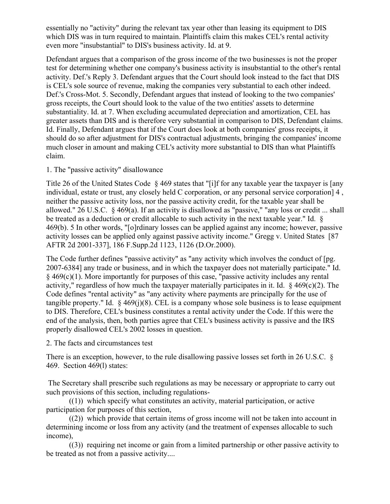essentially no "activity" during the relevant tax year other than leasing its equipment to DIS which DIS was in turn required to maintain. Plaintiffs claim this makes CEL's rental activity even more "insubstantial" to DIS's business activity. Id. at 9.

Defendant argues that a comparison of the gross income of the two businesses is not the proper test for determining whether one company's business activity is insubstantial to the other's rental activity. Def.'s Reply 3. Defendant argues that the Court should look instead to the fact that DIS is CEL's sole source of revenue, making the companies very substantial to each other indeed. Def.'s Cross-Mot. 5. Secondly, Defendant argues that instead of looking to the two companies' gross receipts, the Court should look to the value of the two entities' assets to determine substantiality. Id. at 7. When excluding accumulated depreciation and amortization, CEL has greater assets than DIS and is therefore very substantial in comparison to DIS, Defendant claims. Id. Finally, Defendant argues that if the Court does look at both companies' gross receipts, it should do so after adjustment for DIS's contractual adjustments, bringing the companies' income much closer in amount and making CEL's activity more substantial to DIS than what Plaintiffs claim.

### 1. The "passive activity" disallowance

Title 26 of the United States Code § 469 states that "[i]f for any taxable year the taxpayer is [any individual, estate or trust, any closely held C corporation, or any personal service corporation] 4 , neither the passive activity loss, nor the passive activity credit, for the taxable year shall be allowed." 26 U.S.C. § 469(a). If an activity is disallowed as "passive," "any loss or credit ... shall be treated as a deduction or credit allocable to such activity in the next taxable year." Id. § 469(b). 5 In other words, "[o]rdinary losses can be applied against any income; however, passive activity losses can be applied only against passive activity income." Gregg v. United States [87 AFTR 2d 2001-337], 186 F.Supp.2d 1123, 1126 (D.Or.2000).

The Code further defines "passive activity" as "any activity which involves the conduct of [pg. 2007-6384] any trade or business, and in which the taxpayer does not materially participate." Id. § 469(c)(1). More importantly for purposes of this case, "passive activity includes any rental activity," regardless of how much the taxpayer materially participates in it. Id.  $\frac{8469(c)(2)}{2}$ . The Code defines "rental activity" as "any activity where payments are principally for the use of tangible property." Id.  $\frac{6}{7}$  469(j)(8). CEL is a company whose sole business is to lease equipment to DIS. Therefore, CEL's business constitutes a rental activity under the Code. If this were the end of the analysis, then, both parties agree that CEL's business activity is passive and the IRS properly disallowed CEL's 2002 losses in question.

2. The facts and circumstances test

There is an exception, however, to the rule disallowing passive losses set forth in 26 U.S.C. § 469. Section 469(l) states:

The Secretary shall prescribe such regulations as may be necessary or appropriate to carry out such provisions of this section, including regulations-

((1)) which specify what constitutes an activity, material participation, or active participation for purposes of this section,

((2)) which provide that certain items of gross income will not be taken into account in determining income or loss from any activity (and the treatment of expenses allocable to such income),

((3)) requiring net income or gain from a limited partnership or other passive activity to be treated as not from a passive activity....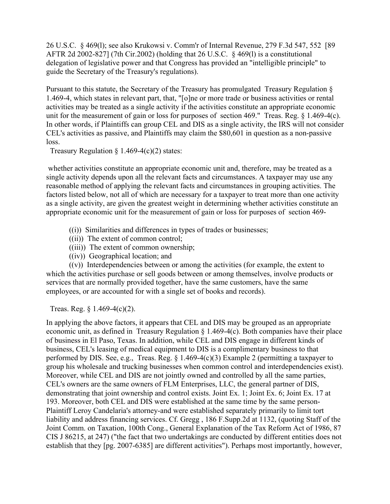26 U.S.C. § 469(l); see also Krukowsi v. Comm'r of Internal Revenue, 279 F.3d 547, 552 [89 AFTR 2d 2002-827] (7th Cir.2002) (holding that 26 U.S.C. § 469(l) is a constitutional delegation of legislative power and that Congress has provided an "intelligible principle" to guide the Secretary of the Treasury's regulations).

Pursuant to this statute, the Secretary of the Treasury has promulgated Treasury Regulation § 1.469-4, which states in relevant part, that, "[o]ne or more trade or business activities or rental activities may be treated as a single activity if the activities constitute an appropriate economic unit for the measurement of gain or loss for purposes of section 469." Treas. Reg. § 1.469-4(c). In other words, if Plaintiffs can group CEL and DIS as a single activity, the IRS will not consider CEL's activities as passive, and Plaintiffs may claim the \$80,601 in question as a non-passive loss.

Treasury Regulation  $\S$  1.469-4(c)(2) states:

whether activities constitute an appropriate economic unit and, therefore, may be treated as a single activity depends upon all the relevant facts and circumstances. A taxpayer may use any reasonable method of applying the relevant facts and circumstances in grouping activities. The factors listed below, not all of which are necessary for a taxpayer to treat more than one activity as a single activity, are given the greatest weight in determining whether activities constitute an appropriate economic unit for the measurement of gain or loss for purposes of section 469-

- ((i)) Similarities and differences in types of trades or businesses;
- ((ii)) The extent of common control;
- ((iii)) The extent of common ownership;
- ((iv)) Geographical location; and

 $((v))$  Interdependencies between or among the activities (for example, the extent to which the activities purchase or sell goods between or among themselves, involve products or services that are normally provided together, have the same customers, have the same employees, or are accounted for with a single set of books and records).

Treas. Reg. § 1.469-4(c)(2).

In applying the above factors, it appears that CEL and DIS may be grouped as an appropriate economic unit, as defined in Treasury Regulation § 1.469-4(c). Both companies have their place of business in El Paso, Texas. In addition, while CEL and DIS engage in different kinds of business, CEL's leasing of medical equipment to DIS is a complimentary business to that performed by DIS. See, e.g., Treas. Reg. § 1.469-4(c)(3) Example 2 (permitting a taxpayer to group his wholesale and trucking businesses when common control and interdependencies exist). Moreover, while CEL and DIS are not jointly owned and controlled by all the same parties, CEL's owners are the same owners of FLM Enterprises, LLC, the general partner of DIS, demonstrating that joint ownership and control exists. Joint Ex. 1; Joint Ex. 6; Joint Ex. 17 at 193. Moreover, both CEL and DIS were established at the same time by the same person-Plaintiff Leroy Candelaria's attorney-and were established separately primarily to limit tort liability and address financing services. Cf. Gregg , 186 F.Supp.2d at 1132, (quoting Staff of the Joint Comm. on Taxation, 100th Cong., General Explanation of the Tax Reform Act of 1986, 87 CIS J 86215, at 247) ("the fact that two undertakings are conducted by different entities does not establish that they [pg. 2007-6385] are different activities"). Perhaps most importantly, however,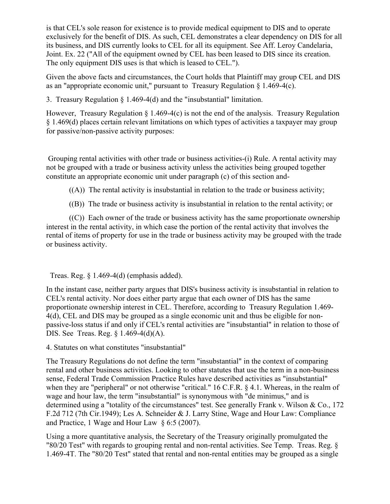is that CEL's sole reason for existence is to provide medical equipment to DIS and to operate exclusively for the benefit of DIS. As such, CEL demonstrates a clear dependency on DIS for all its business, and DIS currently looks to CEL for all its equipment. See Aff. Leroy Candelaria, Joint. Ex. 22 ("All of the equipment owned by CEL has been leased to DIS since its creation. The only equipment DIS uses is that which is leased to CEL.").

Given the above facts and circumstances, the Court holds that Plaintiff may group CEL and DIS as an "appropriate economic unit," pursuant to Treasury Regulation  $\S$  1.469-4(c).

3. Treasury Regulation § 1.469-4(d) and the "insubstantial" limitation.

However, Treasury Regulation § 1.469-4(c) is not the end of the analysis. Treasury Regulation § 1.469(d) places certain relevant limitations on which types of activities a taxpayer may group for passive/non-passive activity purposes:

Grouping rental activities with other trade or business activities-(i) Rule. A rental activity may not be grouped with a trade or business activity unless the activities being grouped together constitute an appropriate economic unit under paragraph (c) of this section and-

 $((A))$  The rental activity is insubstantial in relation to the trade or business activity;

((B)) The trade or business activity is insubstantial in relation to the rental activity; or

 $((C))$  Each owner of the trade or business activity has the same proportionate ownership interest in the rental activity, in which case the portion of the rental activity that involves the rental of items of property for use in the trade or business activity may be grouped with the trade or business activity.

Treas. Reg.  $\S$  1.469-4(d) (emphasis added).

In the instant case, neither party argues that DIS's business activity is insubstantial in relation to CEL's rental activity. Nor does either party argue that each owner of DIS has the same proportionate ownership interest in CEL. Therefore, according to Treasury Regulation 1.469- 4(d), CEL and DIS may be grouped as a single economic unit and thus be eligible for nonpassive-loss status if and only if CEL's rental activities are "insubstantial" in relation to those of DIS. See Treas. Reg. § 1.469-4(d)(A).

4. Statutes on what constitutes "insubstantial"

The Treasury Regulations do not define the term "insubstantial" in the context of comparing rental and other business activities. Looking to other statutes that use the term in a non-business sense, Federal Trade Commission Practice Rules have described activities as "insubstantial" when they are "peripheral" or not otherwise "critical." 16 C.F.R. § 4.1. Whereas, in the realm of wage and hour law, the term "insubstantial" is synonymous with "de minimus," and is determined using a "totality of the circumstances" test. See generally Frank v. Wilson & Co., 172 F.2d 712 (7th Cir.1949); Les A. Schneider & J. Larry Stine, Wage and Hour Law: Compliance and Practice, 1 Wage and Hour Law § 6:5 (2007).

Using a more quantitative analysis, the Secretary of the Treasury originally promulgated the "80/20 Test" with regards to grouping rental and non-rental activities. See Temp. Treas. Reg. § 1.469-4T. The "80/20 Test" stated that rental and non-rental entities may be grouped as a single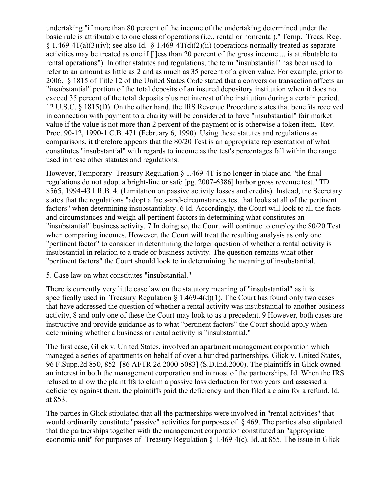undertaking "if more than 80 percent of the income of the undertaking determined under the basic rule is attributable to one class of operations (i.e., rental or nonrental)." Temp. Treas. Reg.  $\{1.469 - 4T(a)(3)(iv)\}\$  see also Id.  $\{1.469 - 4T(d)(2)(ii)\}\$  (operations normally treated as separate activities may be treated as one if [l]ess than 20 percent of the gross income ... is attributable to rental operations"). In other statutes and regulations, the term "insubstantial" has been used to refer to an amount as little as 2 and as much as 35 percent of a given value. For example, prior to 2006, § 1815 of Title 12 of the United States Code stated that a conversion transaction affects an "insubstantial" portion of the total deposits of an insured depository institution when it does not exceed 35 percent of the total deposits plus net interest of the institution during a certain period. 12 U.S.C. § 1815(D). On the other hand, the IRS Revenue Procedure states that benefits received in connection with payment to a charity will be considered to have "insubstantial" fair market value if the value is not more than 2 percent of the payment or is otherwise a token item. Rev. Proc. 90-12, 1990-1 C.B. 471 (February 6, 1990). Using these statutes and regulations as comparisons, it therefore appears that the 80/20 Test is an appropriate representation of what constitutes "insubstantial" with regards to income as the test's percentages fall within the range used in these other statutes and regulations.

However, Temporary Treasury Regulation § 1.469-4T is no longer in place and "the final regulations do not adopt a bright-line or safe [pg. 2007-6386] harbor gross revenue test." TD 8565, 1994-43 I.R.B. 4. (Limitation on passive activity losses and credits). Instead, the Secretary states that the regulations "adopt a facts-and-circumstances test that looks at all of the pertinent factors" when determining insubstantiality. 6 Id. Accordingly, the Court will look to all the facts and circumstances and weigh all pertinent factors in determining what constitutes an "insubstantial" business activity. 7 In doing so, the Court will continue to employ the 80/20 Test when comparing incomes. However, the Court will treat the resulting analysis as only one "pertinent factor" to consider in determining the larger question of whether a rental activity is insubstantial in relation to a trade or business activity. The question remains what other "pertinent factors" the Court should look to in determining the meaning of insubstantial.

5. Case law on what constitutes "insubstantial."

There is currently very little case law on the statutory meaning of "insubstantial" as it is specifically used in Treasury Regulation  $\S 1.469-4(d)(1)$ . The Court has found only two cases that have addressed the question of whether a rental activity was insubstantial to another business activity, 8 and only one of these the Court may look to as a precedent. 9 However, both cases are instructive and provide guidance as to what "pertinent factors" the Court should apply when determining whether a business or rental activity is "insubstantial."

The first case, Glick v. United States, involved an apartment management corporation which managed a series of apartments on behalf of over a hundred partnerships. Glick v. United States, 96 F.Supp.2d 850, 852 [86 AFTR 2d 2000-5083] (S.D.Ind.2000). The plaintiffs in Glick owned an interest in both the management corporation and in most of the partnerships. Id. When the IRS refused to allow the plaintiffs to claim a passive loss deduction for two years and assessed a deficiency against them, the plaintiffs paid the deficiency and then filed a claim for a refund. Id. at 853.

The parties in Glick stipulated that all the partnerships were involved in "rental activities" that would ordinarily constitute "passive" activities for purposes of § 469. The parties also stipulated that the partnerships together with the management corporation constituted an "appropriate economic unit" for purposes of Treasury Regulation § 1.469-4(c). Id. at 855. The issue in Glick-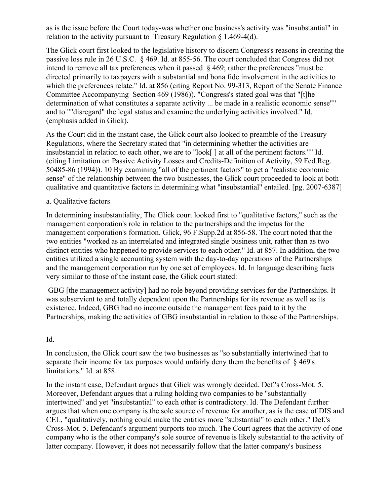as is the issue before the Court today-was whether one business's activity was "insubstantial" in relation to the activity pursuant to Treasury Regulation § 1.469-4(d).

The Glick court first looked to the legislative history to discern Congress's reasons in creating the passive loss rule in 26 U.S.C. § 469. Id. at 855-56. The court concluded that Congress did not intend to remove all tax preferences when it passed § 469; rather the preferences "must be directed primarily to taxpayers with a substantial and bona fide involvement in the activities to which the preferences relate." Id. at 856 (citing Report No. 99-313, Report of the Senate Finance Committee Accompanying Section 469 (1986)). "Congress's stated goal was that "[t]he determination of what constitutes a separate activity ... be made in a realistic economic sense"" and to ""disregard" the legal status and examine the underlying activities involved." Id. (emphasis added in Glick).

As the Court did in the instant case, the Glick court also looked to preamble of the Treasury Regulations, where the Secretary stated that "in determining whether the activities are insubstantial in relation to each other, we are to "look[ ] at all of the pertinent factors."" Id. (citing Limitation on Passive Activity Losses and Credits-Definition of Activity, 59 Fed.Reg. 50485-86 (1994)). 10 By examining "all of the pertinent factors" to get a "realistic economic sense" of the relationship between the two businesses, the Glick court proceeded to look at both qualitative and quantitative factors in determining what "insubstantial" entailed. [pg. 2007-6387]

### a. Qualitative factors

In determining insubstantiality, The Glick court looked first to "qualitative factors," such as the management corporation's role in relation to the partnerships and the impetus for the management corporation's formation. Glick, 96 F.Supp.2d at 856-58. The court noted that the two entities "worked as an interrelated and integrated single business unit, rather than as two distinct entities who happened to provide services to each other." Id. at 857. In addition, the two entities utilized a single accounting system with the day-to-day operations of the Partnerships and the management corporation run by one set of employees. Id. In language describing facts very similar to those of the instant case, the Glick court stated:

GBG [the management activity] had no role beyond providing services for the Partnerships. It was subservient to and totally dependent upon the Partnerships for its revenue as well as its existence. Indeed, GBG had no income outside the management fees paid to it by the Partnerships, making the activities of GBG insubstantial in relation to those of the Partnerships.

### Id.

In conclusion, the Glick court saw the two businesses as "so substantially intertwined that to separate their income for tax purposes would unfairly deny them the benefits of § 469's limitations." Id. at 858.

In the instant case, Defendant argues that Glick was wrongly decided. Def.'s Cross-Mot. 5. Moreover, Defendant argues that a ruling holding two companies to be "substantially intertwined" and yet "insubstantial" to each other is contradictory. Id. The Defendant further argues that when one company is the sole source of revenue for another, as is the case of DIS and CEL, "qualitatively, nothing could make the entities more "substantial" to each other." Def.'s Cross-Mot. 5. Defendant's argument purports too much. The Court agrees that the activity of one company who is the other company's sole source of revenue is likely substantial to the activity of latter company. However, it does not necessarily follow that the latter company's business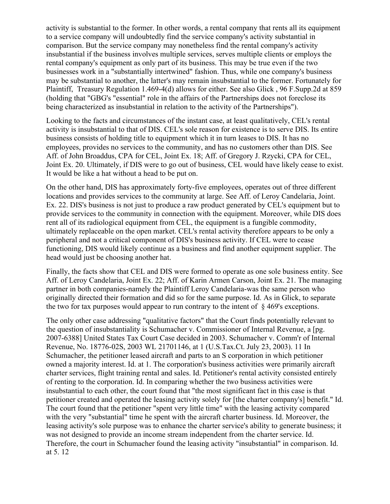activity is substantial to the former. In other words, a rental company that rents all its equipment to a service company will undoubtedly find the service company's activity substantial in comparison. But the service company may nonetheless find the rental company's activity insubstantial if the business involves multiple services, serves multiple clients or employs the rental company's equipment as only part of its business. This may be true even if the two businesses work in a "substantially intertwined" fashion. Thus, while one company's business may be substantial to another, the latter's may remain insubstantial to the former. Fortunately for Plaintiff, Treasury Regulation 1.469-4(d) allows for either. See also Glick , 96 F.Supp.2d at 859 (holding that "GBG's "essential" role in the affairs of the Partnerships does not foreclose its being characterized as insubstantial in relation to the activity of the Partnerships").

Looking to the facts and circumstances of the instant case, at least qualitatively, CEL's rental activity is insubstantial to that of DIS. CEL's sole reason for existence is to serve DIS. Its entire business consists of holding title to equipment which it in turn leases to DIS. It has no employees, provides no services to the community, and has no customers other than DIS. See Aff. of John Broaddus, CPA for CEL, Joint Ex. 18; Aff. of Gregory J. Rzycki, CPA for CEL, Joint Ex. 20. Ultimately, if DIS were to go out of business, CEL would have likely cease to exist. It would be like a hat without a head to be put on.

On the other hand, DIS has approximately forty-five employees, operates out of three different locations and provides services to the community at large. See Aff. of Leroy Candelaria, Joint. Ex. 22. DIS's business is not just to produce a raw product generated by CEL's equipment but to provide services to the community in connection with the equipment. Moreover, while DIS does rent all of its radiological equipment from CEL, the equipment is a fungible commodity, ultimately replaceable on the open market. CEL's rental activity therefore appears to be only a peripheral and not a critical component of DIS's business activity. If CEL were to cease functioning, DIS would likely continue as a business and find another equipment supplier. The head would just be choosing another hat.

Finally, the facts show that CEL and DIS were formed to operate as one sole business entity. See Aff. of Leroy Candelaria, Joint Ex. 22; Aff. of Karin Armen Carson, Joint Ex. 21. The managing partner in both companies-namely the Plaintiff Leroy Candelaria-was the same person who originally directed their formation and did so for the same purpose. Id. As in Glick, to separate the two for tax purposes would appear to run contrary to the intent of § 469's exceptions.

The only other case addressing "qualitative factors" that the Court finds potentially relevant to the question of insubstantiality is Schumacher v. Commissioner of Internal Revenue, a [pg. 2007-6388] United States Tax Court Case decided in 2003. Schumacher v. Comm'r of Internal Revenue, No. 18776-02S, 2003 WL 21701146, at 1 (U.S.Tax.Ct. July 23, 2003). 11 In Schumacher, the petitioner leased aircraft and parts to an S corporation in which petitioner owned a majority interest. Id. at 1. The corporation's business activities were primarily aircraft charter services, flight training rental and sales. Id. Petitioner's rental activity consisted entirely of renting to the corporation. Id. In comparing whether the two business activities were insubstantial to each other, the court found that "the most significant fact in this case is that petitioner created and operated the leasing activity solely for [the charter company's] benefit." Id. The court found that the petitioner "spent very little time" with the leasing activity compared with the very "substantial" time he spent with the aircraft charter business. Id. Moreover, the leasing activity's sole purpose was to enhance the charter service's ability to generate business; it was not designed to provide an income stream independent from the charter service. Id. Therefore, the court in Schumacher found the leasing activity "insubstantial" in comparison. Id. at 5. 12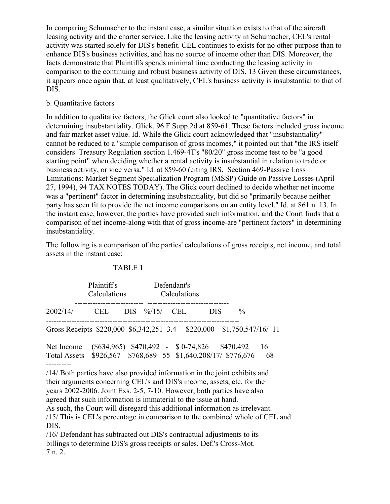In comparing Schumacher to the instant case, a similar situation exists to that of the aircraft leasing activity and the charter service. Like the leasing activity in Schumacher, CEL's rental activity was started solely for DIS's benefit. CEL continues to exists for no other purpose than to enhance DIS's business activities, and has no source of income other than DIS. Moreover, the facts demonstrate that Plaintiffs spends minimal time conducting the leasing activity in comparison to the continuing and robust business activity of DIS. 13 Given these circumstances, it appears once again that, at least qualitatively, CEL's business activity is insubstantial to that of DIS.

### b. Quantitative factors

In addition to qualitative factors, the Glick court also looked to "quantitative factors" in determining insubstantiality. Glick, 96 F.Supp.2d at 859-61. These factors included gross income and fair market asset value. Id. While the Glick court acknowledged that "insubstantiality" cannot be reduced to a "simple comparison of gross incomes," it pointed out that "the IRS itself considers Treasury Regulation section 1.469-4T's "80/20" gross income test to be "a good starting point" when deciding whether a rental activity is insubstantial in relation to trade or business activity, or vice versa." Id. at 859-60 (citing IRS, Section 469-Passive Loss Limitations: Market Segment Specialization Program (MSSP) Guide on Passive Losses (April 27, 1994), 94 TAX NOTES TODAY). The Glick court declined to decide whether net income was a "pertinent" factor in determining insubstantiality, but did so "primarily because neither party has seen fit to provide the net income comparisons on an entity level." Id. at 861 n. 13. In the instant case, however, the parties have provided such information, and the Court finds that a comparison of net income-along with that of gross income-are "pertinent factors" in determining insubstantiality.

The following is a comparison of the parties' calculations of gross receipts, net income, and total assets in the instant case:

#### TABLE 1

|                                                                                                                                                                                                                                 | <b>Plaintiffs</b><br>Calculations                                                        |  | Defendant's<br>Calculations |            |  |            |                               |          |
|---------------------------------------------------------------------------------------------------------------------------------------------------------------------------------------------------------------------------------|------------------------------------------------------------------------------------------|--|-----------------------------|------------|--|------------|-------------------------------|----------|
| 2002/14/                                                                                                                                                                                                                        | <b>CEL</b>                                                                               |  | $DIS \frac{9}{6}/15/$       | <b>CEL</b> |  | <b>DIS</b> | $\%$                          |          |
| Gross Receipts \$220,000 \$6,342,251 3.4                                                                                                                                                                                        |                                                                                          |  |                             |            |  |            | $$220,000$ $$1,750,547/16/11$ |          |
| Net Income<br><b>Total Assets</b>                                                                                                                                                                                               | $(\$634,965)$ \$470,492 - \$0-74,826<br>\$926,567 \$768,689 55 \$1,640,208/17/ \$776,676 |  |                             |            |  |            | \$470,492                     | 16<br>68 |
| /14/ Both parties have also provided information in the joint exhibits and<br>their arguments concerning CEL's and DIS's income, assets, etc. for the<br>years 2002-2006. Joint Exs. 2-5, 7-10. However, both parties have also |                                                                                          |  |                             |            |  |            |                               |          |

agreed that such information is immaterial to the issue at hand.

As such, the Court will disregard this additional information as irrelevant. /15/ This is CEL's percentage in comparison to the combined whole of CEL and DIS.

/16/ Defendant has subtracted out DIS's contractual adjustments to its billings to determine DIS's gross receipts or sales. Def.'s Cross-Mot. 7 n. 2.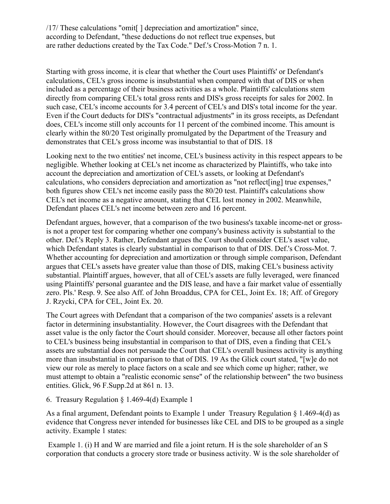/17/ These calculations "omit[ ] depreciation and amortization" since, according to Defendant, "these deductions do not reflect true expenses, but are rather deductions created by the Tax Code." Def.'s Cross-Motion 7 n. 1.

Starting with gross income, it is clear that whether the Court uses Plaintiffs' or Defendant's calculations, CEL's gross income is insubstantial when compared with that of DIS or when included as a percentage of their business activities as a whole. Plaintiffs' calculations stem directly from comparing CEL's total gross rents and DIS's gross receipts for sales for 2002. In such case, CEL's income accounts for 3.4 percent of CEL's and DIS's total income for the year. Even if the Court deducts for DIS's "contractual adjustments" in its gross receipts, as Defendant does, CEL's income still only accounts for 11 percent of the combined income. This amount is clearly within the 80/20 Test originally promulgated by the Department of the Treasury and demonstrates that CEL's gross income was insubstantial to that of DIS. 18

Looking next to the two entities' net income, CEL's business activity in this respect appears to be negligible. Whether looking at CEL's net income as characterized by Plaintiffs, who take into account the depreciation and amortization of CEL's assets, or looking at Defendant's calculations, who considers depreciation and amortization as "not reflect[ing] true expenses," both figures show CEL's net income easily pass the 80/20 test. Plaintiff's calculations show CEL's net income as a negative amount, stating that CEL lost money in 2002. Meanwhile, Defendant places CEL's net income between zero and 16 percent.

Defendant argues, however, that a comparison of the two business's taxable income-net or grossis not a proper test for comparing whether one company's business activity is substantial to the other. Def.'s Reply 3. Rather, Defendant argues the Court should consider CEL's asset value, which Defendant states is clearly substantial in comparison to that of DIS. Def.'s Cross-Mot. 7. Whether accounting for depreciation and amortization or through simple comparison, Defendant argues that CEL's assets have greater value than those of DIS, making CEL's business activity substantial. Plaintiff argues, however, that all of CEL's assets are fully leveraged, were financed using Plaintiffs' personal guarantee and the DIS lease, and have a fair market value of essentially zero. Pls.' Resp. 9. See also Aff. of John Broaddus, CPA for CEL, Joint Ex. 18; Aff. of Gregory J. Rzycki, CPA for CEL, Joint Ex. 20.

The Court agrees with Defendant that a comparison of the two companies' assets is a relevant factor in determining insubstantiality. However, the Court disagrees with the Defendant that asset value is the only factor the Court should consider. Moreover, because all other factors point to CEL's business being insubstantial in comparison to that of DIS, even a finding that CEL's assets are substantial does not persuade the Court that CEL's overall business activity is anything more than insubstantial in comparison to that of DIS. 19 As the Glick court stated, "[w]e do not view our role as merely to place factors on a scale and see which come up higher; rather, we must attempt to obtain a "realistic economic sense" of the relationship between" the two business entities. Glick, 96 F.Supp.2d at 861 n. 13.

## 6. Treasury Regulation § 1.469-4(d) Example 1

As a final argument, Defendant points to Example 1 under Treasury Regulation § 1.469-4(d) as evidence that Congress never intended for businesses like CEL and DIS to be grouped as a single activity. Example 1 states:

Example 1. (i) H and W are married and file a joint return. H is the sole shareholder of an S corporation that conducts a grocery store trade or business activity. W is the sole shareholder of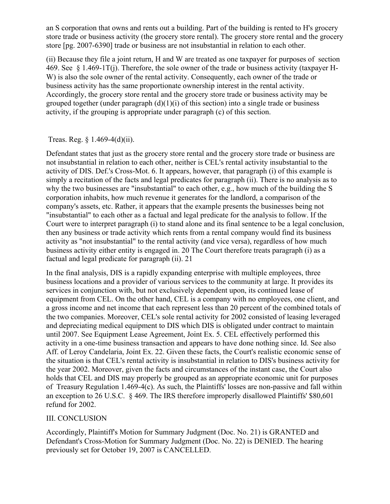an S corporation that owns and rents out a building. Part of the building is rented to H's grocery store trade or business activity (the grocery store rental). The grocery store rental and the grocery store [pg. 2007-6390] trade or business are not insubstantial in relation to each other.

(ii) Because they file a joint return, H and W are treated as one taxpayer for purposes of section 469. See § 1.469-1T(j). Therefore, the sole owner of the trade or business activity (taxpayer H-W) is also the sole owner of the rental activity. Consequently, each owner of the trade or business activity has the same proportionate ownership interest in the rental activity. Accordingly, the grocery store rental and the grocery store trade or business activity may be grouped together (under paragraph  $(d)(1)(i)$  of this section) into a single trade or business activity, if the grouping is appropriate under paragraph (c) of this section.

Treas. Reg. § 1.469-4(d)(ii).

Defendant states that just as the grocery store rental and the grocery store trade or business are not insubstantial in relation to each other, neither is CEL's rental activity insubstantial to the activity of DIS. Def.'s Cross-Mot. 6. It appears, however, that paragraph (i) of this example is simply a recitation of the facts and legal predicates for paragraph (ii). There is no analysis as to why the two businesses are "insubstantial" to each other, e.g., how much of the building the S corporation inhabits, how much revenue it generates for the landlord, a comparison of the company's assets, etc. Rather, it appears that the example presents the businesses being not "insubstantial" to each other as a factual and legal predicate for the analysis to follow. If the Court were to interpret paragraph (i) to stand alone and its final sentence to be a legal conclusion, then any business or trade activity which rents from a rental company would find its business activity as "not insubstantial" to the rental activity (and vice versa), regardless of how much business activity either entity is engaged in. 20 The Court therefore treats paragraph (i) as a factual and legal predicate for paragraph (ii). 21

In the final analysis, DIS is a rapidly expanding enterprise with multiple employees, three business locations and a provider of various services to the community at large. It provides its services in conjunction with, but not exclusively dependent upon, its continued lease of equipment from CEL. On the other hand, CEL is a company with no employees, one client, and a gross income and net income that each represent less than 20 percent of the combined totals of the two companies. Moreover, CEL's sole rental activity for 2002 consisted of leasing leveraged and depreciating medical equipment to DIS which DIS is obligated under contract to maintain until 2007. See Equipment Lease Agreement, Joint Ex. 5. CEL effectively performed this activity in a one-time business transaction and appears to have done nothing since. Id. See also Aff. of Leroy Candelaria, Joint Ex. 22. Given these facts, the Court's realistic economic sense of the situation is that CEL's rental activity is insubstantial in relation to DIS's business activity for the year 2002. Moreover, given the facts and circumstances of the instant case, the Court also holds that CEL and DIS may properly be grouped as an appropriate economic unit for purposes of Treasury Regulation 1.469-4(c). As such, the Plaintiffs' losses are non-passive and fall within an exception to 26 U.S.C. § 469. The IRS therefore improperly disallowed Plaintiffs' \$80,601 refund for 2002.

### III. CONCLUSION

Accordingly, Plaintiff's Motion for Summary Judgment (Doc. No. 21) is GRANTED and Defendant's Cross-Motion for Summary Judgment (Doc. No. 22) is DENIED. The hearing previously set for October 19, 2007 is CANCELLED.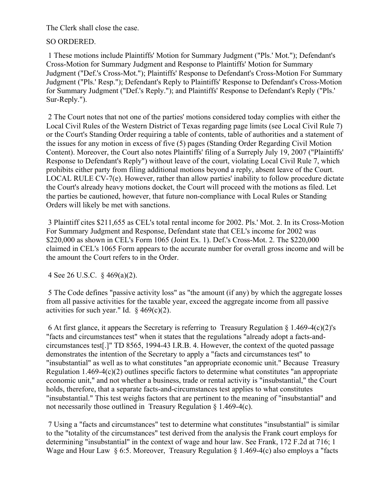The Clerk shall close the case.

# SO ORDERED.

1 These motions include Plaintiffs' Motion for Summary Judgment ("Pls.' Mot."); Defendant's Cross-Motion for Summary Judgment and Response to Plaintiffs' Motion for Summary Judgment ("Def.'s Cross-Mot."); Plaintiffs' Response to Defendant's Cross-Motion For Summary Judgment ("Pls.' Resp."); Defendant's Reply to Plaintiffs' Response to Defendant's Cross-Motion for Summary Judgment ("Def.'s Reply."); and Plaintiffs' Response to Defendant's Reply ("Pls.' Sur-Reply.").

2 The Court notes that not one of the parties' motions considered today complies with either the Local Civil Rules of the Western District of Texas regarding page limits (see Local Civil Rule 7) or the Court's Standing Order requiring a table of contents, table of authorities and a statement of the issues for any motion in excess of five (5) pages (Standing Order Regarding Civil Motion Content). Moreover, the Court also notes Plaintiffs' filing of a Surreply July 19, 2007 ("Plaintiffs' Response to Defendant's Reply") without leave of the court, violating Local Civil Rule 7, which prohibits either party from filing additional motions beyond a reply, absent leave of the Court. LOCAL RULE CV-7(e). However, rather than allow parties' inability to follow procedure dictate the Court's already heavy motions docket, the Court will proceed with the motions as filed. Let the parties be cautioned, however, that future non-compliance with Local Rules or Standing Orders will likely be met with sanctions.

3 Plaintiff cites \$211,655 as CEL's total rental income for 2002. Pls.' Mot. 2. In its Cross-Motion For Summary Judgment and Response, Defendant state that CEL's income for 2002 was \$220,000 as shown in CEL's Form 1065 (Joint Ex. 1). Def.'s Cross-Mot. 2. The \$220,000 claimed in CEL's 1065 Form appears to the accurate number for overall gross income and will be the amount the Court refers to in the Order.

4 See 26 U.S.C. § 469(a)(2).

5 The Code defines "passive activity loss" as "the amount (if any) by which the aggregate losses from all passive activities for the taxable year, exceed the aggregate income from all passive activities for such year." Id.  $§$  469(c)(2).

6 At first glance, it appears the Secretary is referring to Treasury Regulation  $\S 1.469-4(c)(2)$ 's "facts and circumstances test" when it states that the regulations "already adopt a facts-andcircumstances test[.]" TD 8565, 1994-43 I.R.B. 4. However, the context of the quoted passage demonstrates the intention of the Secretary to apply a "facts and circumstances test" to "insubstantial" as well as to what constitutes "an appropriate economic unit." Because Treasury Regulation 1.469-4(c)(2) outlines specific factors to determine what constitutes "an appropriate economic unit," and not whether a business, trade or rental activity is "insubstantial," the Court holds, therefore, that a separate facts-and-circumstances test applies to what constitutes "insubstantial." This test weighs factors that are pertinent to the meaning of "insubstantial" and not necessarily those outlined in Treasury Regulation § 1.469-4(c).

7 Using a "facts and circumstances" test to determine what constitutes "insubstantial" is similar to the "totality of the circumstances" test derived from the analysis the Frank court employs for determining "insubstantial" in the context of wage and hour law. See Frank, 172 F.2d at 716; 1 Wage and Hour Law § 6:5. Moreover, Treasury Regulation § 1.469-4(c) also employs a "facts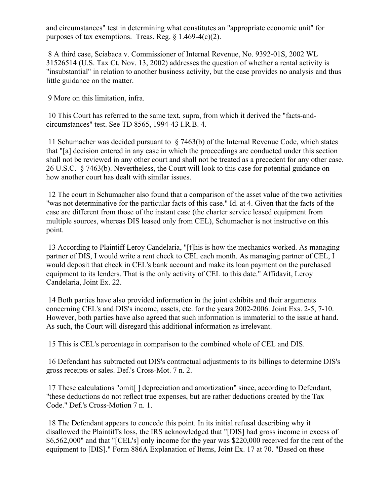and circumstances" test in determining what constitutes an "appropriate economic unit" for purposes of tax exemptions. Treas. Reg.  $\frac{8}{1.469-4(c)(2)}$ .

8 A third case, Sciabaca v. Commissioner of Internal Revenue, No. 9392-01S, 2002 WL 31526514 (U.S. Tax Ct. Nov. 13, 2002) addresses the question of whether a rental activity is "insubstantial" in relation to another business activity, but the case provides no analysis and thus little guidance on the matter.

9 More on this limitation, infra.

10 This Court has referred to the same text, supra, from which it derived the "facts-andcircumstances" test. See TD 8565, 1994-43 I.R.B. 4.

11 Schumacher was decided pursuant to § 7463(b) of the Internal Revenue Code, which states that "[a] decision entered in any case in which the proceedings are conducted under this section shall not be reviewed in any other court and shall not be treated as a precedent for any other case. 26 U.S.C. § 7463(b). Nevertheless, the Court will look to this case for potential guidance on how another court has dealt with similar issues.

12 The court in Schumacher also found that a comparison of the asset value of the two activities "was not determinative for the particular facts of this case." Id. at 4. Given that the facts of the case are different from those of the instant case (the charter service leased equipment from multiple sources, whereas DIS leased only from CEL), Schumacher is not instructive on this point.

13 According to Plaintiff Leroy Candelaria, "[t]his is how the mechanics worked. As managing partner of DIS, I would write a rent check to CEL each month. As managing partner of CEL, I would deposit that check in CEL's bank account and make its loan payment on the purchased equipment to its lenders. That is the only activity of CEL to this date." Affidavit, Leroy Candelaria, Joint Ex. 22.

14 Both parties have also provided information in the joint exhibits and their arguments concerning CEL's and DIS's income, assets, etc. for the years 2002-2006. Joint Exs. 2-5, 7-10. However, both parties have also agreed that such information is immaterial to the issue at hand. As such, the Court will disregard this additional information as irrelevant.

15 This is CEL's percentage in comparison to the combined whole of CEL and DIS.

16 Defendant has subtracted out DIS's contractual adjustments to its billings to determine DIS's gross receipts or sales. Def.'s Cross-Mot. 7 n. 2.

17 These calculations "omit[ ] depreciation and amortization" since, according to Defendant, "these deductions do not reflect true expenses, but are rather deductions created by the Tax Code." Def.'s Cross-Motion 7 n. 1.

18 The Defendant appears to concede this point. In its initial refusal describing why it disallowed the Plaintiff's loss, the IRS acknowledged that "[DIS] had gross income in excess of \$6,562,000" and that "[CEL's] only income for the year was \$220,000 received for the rent of the equipment to [DIS]." Form 886A Explanation of Items, Joint Ex. 17 at 70. "Based on these